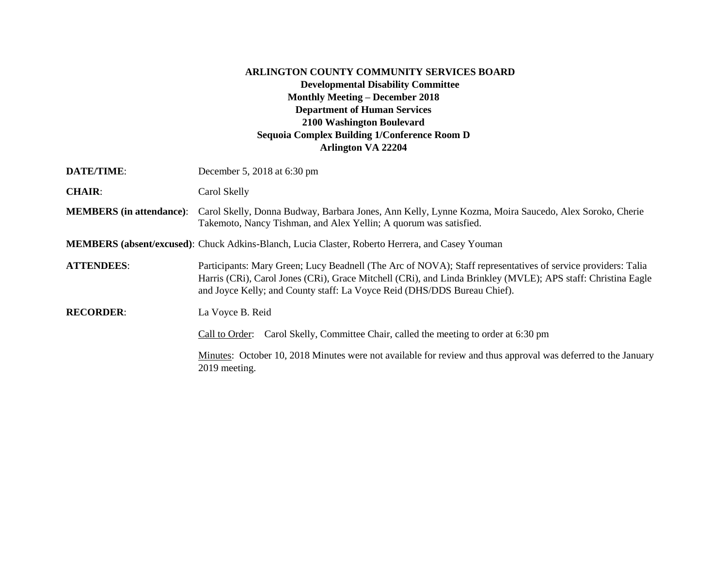## **ARLINGTON COUNTY COMMUNITY SERVICES BOARD Developmental Disability Committee Monthly Meeting – December 2018 Department of Human Services 2100 Washington Boulevard Sequoia Complex Building 1/Conference Room D Arlington VA 22204**

| DATE/TIME:                      | December 5, 2018 at 6:30 pm                                                                                                                                                                                                                                                                              |
|---------------------------------|----------------------------------------------------------------------------------------------------------------------------------------------------------------------------------------------------------------------------------------------------------------------------------------------------------|
| <b>CHAIR:</b>                   | Carol Skelly                                                                                                                                                                                                                                                                                             |
| <b>MEMBERS</b> (in attendance): | Carol Skelly, Donna Budway, Barbara Jones, Ann Kelly, Lynne Kozma, Moira Saucedo, Alex Soroko, Cherie<br>Takemoto, Nancy Tishman, and Alex Yellin; A quorum was satisfied.                                                                                                                               |
|                                 | <b>MEMBERS</b> (absent/excused): Chuck Adkins-Blanch, Lucia Claster, Roberto Herrera, and Casey Youman                                                                                                                                                                                                   |
| <b>ATTENDEES:</b>               | Participants: Mary Green; Lucy Beadnell (The Arc of NOVA); Staff representatives of service providers: Talia<br>Harris (CRi), Carol Jones (CRi), Grace Mitchell (CRi), and Linda Brinkley (MVLE); APS staff: Christina Eagle<br>and Joyce Kelly; and County staff: La Voyce Reid (DHS/DDS Bureau Chief). |
| <b>RECORDER:</b>                | La Voyce B. Reid                                                                                                                                                                                                                                                                                         |
|                                 | Carol Skelly, Committee Chair, called the meeting to order at 6:30 pm<br>Call to Order:                                                                                                                                                                                                                  |
|                                 | Minutes: October 10, 2018 Minutes were not available for review and thus approval was deferred to the January<br>2019 meeting.                                                                                                                                                                           |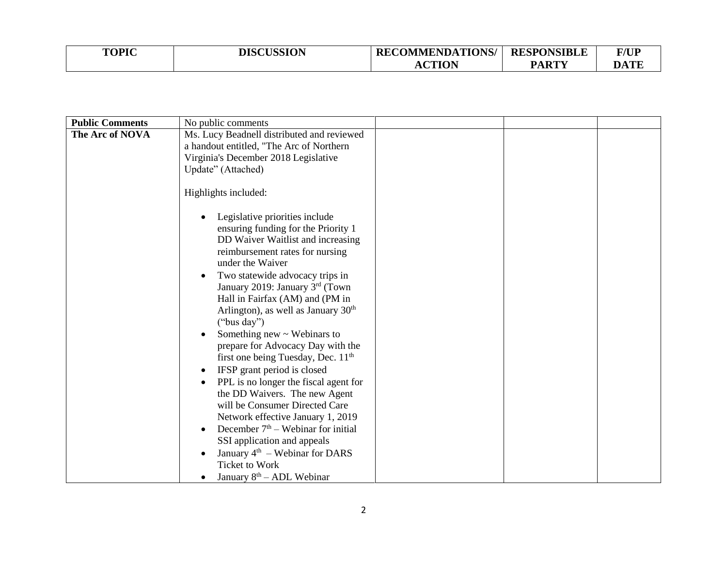| <b>TOPIC</b> | <b>DISCUSSION</b> | <b>RECOMMENDATIONS/</b> | <b>RESPONSIBLE</b> | <b>F/UP</b> |
|--------------|-------------------|-------------------------|--------------------|-------------|
|              |                   | CTION<br>nv             | <b>PARTY</b>       | <b>DATE</b> |

| <b>Public Comments</b> | No public comments                              |
|------------------------|-------------------------------------------------|
| The Arc of NOVA        | Ms. Lucy Beadnell distributed and reviewed      |
|                        | a handout entitled, "The Arc of Northern        |
|                        | Virginia's December 2018 Legislative            |
|                        | Update" (Attached)                              |
|                        |                                                 |
|                        | Highlights included:                            |
|                        |                                                 |
|                        | Legislative priorities include                  |
|                        | ensuring funding for the Priority 1             |
|                        | DD Waiver Waitlist and increasing               |
|                        | reimbursement rates for nursing                 |
|                        | under the Waiver                                |
|                        | Two statewide advocacy trips in<br>$\bullet$    |
|                        | January 2019: January 3rd (Town                 |
|                        | Hall in Fairfax (AM) and (PM in                 |
|                        | Arlington), as well as January 30 <sup>th</sup> |
|                        | ("bus day")                                     |
|                        | Something new $\sim$ Webinars to                |
|                        | prepare for Advocacy Day with the               |
|                        | first one being Tuesday, Dec. 11 <sup>th</sup>  |
|                        | IFSP grant period is closed                     |
|                        | PPL is no longer the fiscal agent for           |
|                        | the DD Waivers. The new Agent                   |
|                        | will be Consumer Directed Care                  |
|                        | Network effective January 1, 2019               |
|                        | December $7th$ – Webinar for initial            |
|                        | SSI application and appeals                     |
|                        | January $4th$ – Webinar for DARS                |
|                        | <b>Ticket to Work</b>                           |
|                        | January $8th - ADL$ Webinar                     |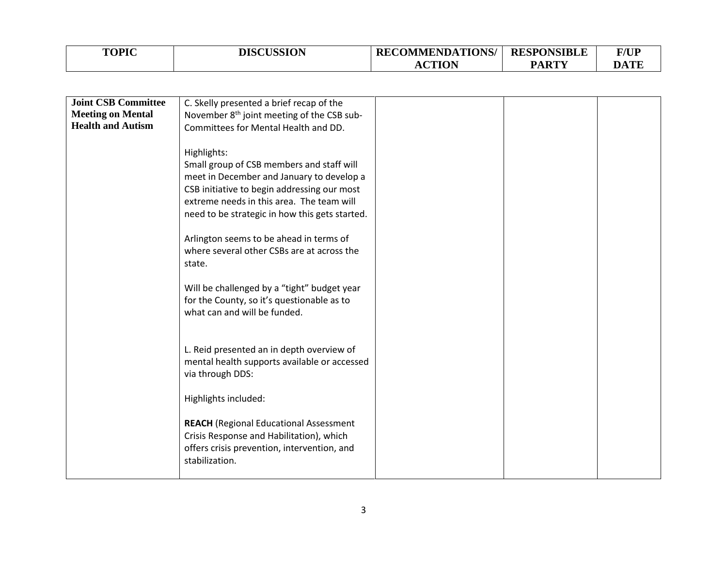| <b>TOPIC</b> | <b>DISCUSSION</b> | <b>RECOMMENDATIONS/</b> | <b>RESPONSIBLE</b> | F/UP |
|--------------|-------------------|-------------------------|--------------------|------|
|              |                   | <b>CTION</b><br>AU.     | <b>PARTY</b>       | DATE |

| <b>Joint CSB Committee</b> | C. Skelly presented a brief recap of the               |  |  |
|----------------------------|--------------------------------------------------------|--|--|
| <b>Meeting on Mental</b>   | November 8 <sup>th</sup> joint meeting of the CSB sub- |  |  |
| <b>Health and Autism</b>   | Committees for Mental Health and DD.                   |  |  |
|                            |                                                        |  |  |
|                            |                                                        |  |  |
|                            | Highlights:                                            |  |  |
|                            | Small group of CSB members and staff will              |  |  |
|                            | meet in December and January to develop a              |  |  |
|                            | CSB initiative to begin addressing our most            |  |  |
|                            | extreme needs in this area. The team will              |  |  |
|                            |                                                        |  |  |
|                            | need to be strategic in how this gets started.         |  |  |
|                            |                                                        |  |  |
|                            | Arlington seems to be ahead in terms of                |  |  |
|                            | where several other CSBs are at across the             |  |  |
|                            | state.                                                 |  |  |
|                            |                                                        |  |  |
|                            |                                                        |  |  |
|                            | Will be challenged by a "tight" budget year            |  |  |
|                            | for the County, so it's questionable as to             |  |  |
|                            | what can and will be funded.                           |  |  |
|                            |                                                        |  |  |
|                            |                                                        |  |  |
|                            | L. Reid presented an in depth overview of              |  |  |
|                            |                                                        |  |  |
|                            | mental health supports available or accessed           |  |  |
|                            | via through DDS:                                       |  |  |
|                            |                                                        |  |  |
|                            | Highlights included:                                   |  |  |
|                            |                                                        |  |  |
|                            | <b>REACH</b> (Regional Educational Assessment          |  |  |
|                            |                                                        |  |  |
|                            | Crisis Response and Habilitation), which               |  |  |
|                            | offers crisis prevention, intervention, and            |  |  |
|                            | stabilization.                                         |  |  |
|                            |                                                        |  |  |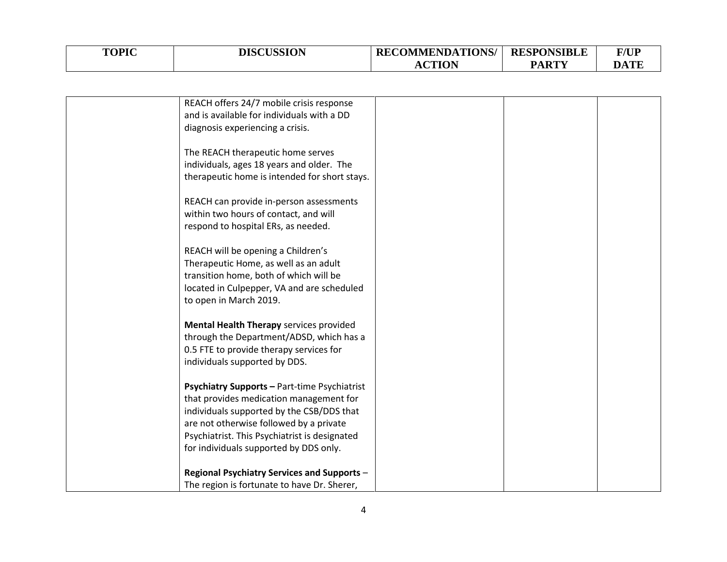| <b>TOPIC</b> | <b>DISCUSSION</b> | <b>RECOMMENDATIONS/   RESPONSIBLE</b> |              | <b>F/UP</b> |
|--------------|-------------------|---------------------------------------|--------------|-------------|
|              |                   | CTION                                 | <b>PARTY</b> | DATE        |

| REACH offers 24/7 mobile crisis response      |  |  |
|-----------------------------------------------|--|--|
| and is available for individuals with a DD    |  |  |
| diagnosis experiencing a crisis.              |  |  |
|                                               |  |  |
|                                               |  |  |
| The REACH therapeutic home serves             |  |  |
| individuals, ages 18 years and older. The     |  |  |
| therapeutic home is intended for short stays. |  |  |
|                                               |  |  |
| REACH can provide in-person assessments       |  |  |
| within two hours of contact, and will         |  |  |
|                                               |  |  |
| respond to hospital ERs, as needed.           |  |  |
|                                               |  |  |
| REACH will be opening a Children's            |  |  |
| Therapeutic Home, as well as an adult         |  |  |
| transition home, both of which will be        |  |  |
| located in Culpepper, VA and are scheduled    |  |  |
| to open in March 2019.                        |  |  |
|                                               |  |  |
|                                               |  |  |
| Mental Health Therapy services provided       |  |  |
| through the Department/ADSD, which has a      |  |  |
| 0.5 FTE to provide therapy services for       |  |  |
| individuals supported by DDS.                 |  |  |
|                                               |  |  |
| Psychiatry Supports - Part-time Psychiatrist  |  |  |
| that provides medication management for       |  |  |
|                                               |  |  |
| individuals supported by the CSB/DDS that     |  |  |
| are not otherwise followed by a private       |  |  |
| Psychiatrist. This Psychiatrist is designated |  |  |
| for individuals supported by DDS only.        |  |  |
|                                               |  |  |
| Regional Psychiatry Services and Supports -   |  |  |
|                                               |  |  |
| The region is fortunate to have Dr. Sherer,   |  |  |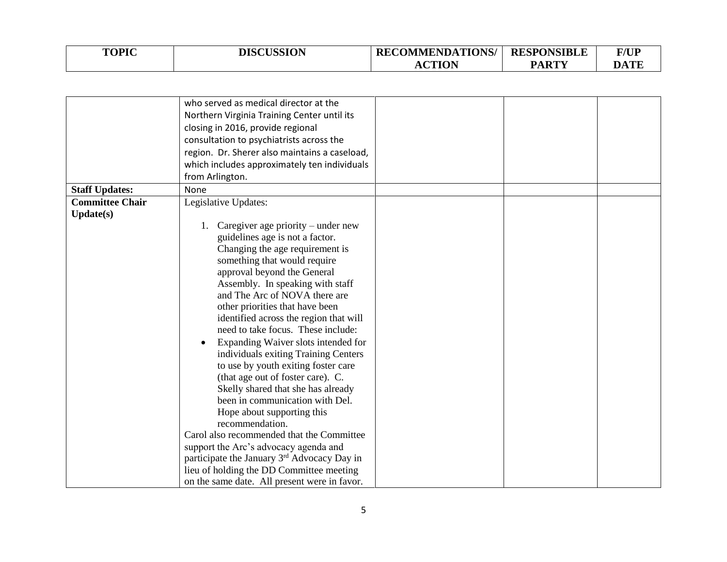| <b>TOPIC</b> | <b>DISCUSSION</b> | <b>RECOMMENDATIONS/</b> | <b>RESPONSIBLE</b> | <b>F/UP</b> |
|--------------|-------------------|-------------------------|--------------------|-------------|
|              |                   | CTION                   | <b>PARTY</b>       | <b>DATE</b> |

|                        | who served as medical director at the                   |
|------------------------|---------------------------------------------------------|
|                        | Northern Virginia Training Center until its             |
|                        | closing in 2016, provide regional                       |
|                        | consultation to psychiatrists across the                |
|                        | region. Dr. Sherer also maintains a caseload,           |
|                        | which includes approximately ten individuals            |
|                        | from Arlington.                                         |
| <b>Staff Updates:</b>  | <b>None</b>                                             |
| <b>Committee Chair</b> | Legislative Updates:                                    |
| Update(s)              |                                                         |
|                        | 1. Caregiver age priority – under new                   |
|                        | guidelines age is not a factor.                         |
|                        | Changing the age requirement is                         |
|                        | something that would require                            |
|                        | approval beyond the General                             |
|                        | Assembly. In speaking with staff                        |
|                        | and The Arc of NOVA there are                           |
|                        | other priorities that have been                         |
|                        | identified across the region that will                  |
|                        | need to take focus. These include:                      |
|                        | Expanding Waiver slots intended for                     |
|                        | individuals exiting Training Centers                    |
|                        | to use by youth exiting foster care                     |
|                        | (that age out of foster care). C.                       |
|                        | Skelly shared that she has already                      |
|                        | been in communication with Del.                         |
|                        | Hope about supporting this                              |
|                        | recommendation.                                         |
|                        | Carol also recommended that the Committee               |
|                        | support the Arc's advocacy agenda and                   |
|                        | participate the January 3 <sup>rd</sup> Advocacy Day in |
|                        | lieu of holding the DD Committee meeting                |
|                        | on the same date. All present were in favor.            |